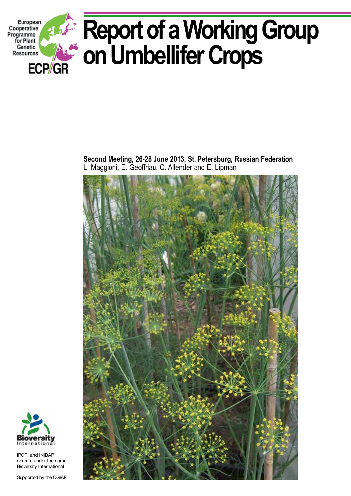

**Second Meeting, 26-28 June 2013, St. Petersburg, Russian Federation**  L. Maggioni, E. Geoffriau, C. Allender and E. Lipman





IPGRI and INIBAP operate under the name Bioversity International

Supported by the CGIAR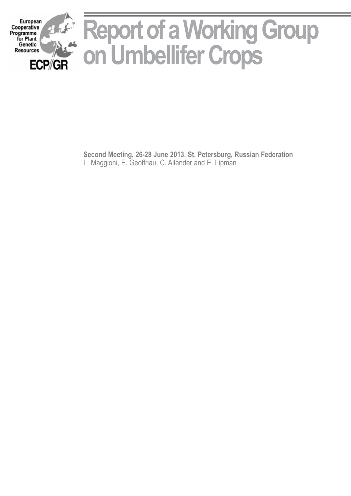

**Second Meeting, 26-28 June 2013, St. Petersburg, Russian Federation** L. Maggioni, E. Geoffriau, C. Allender and E. Lipman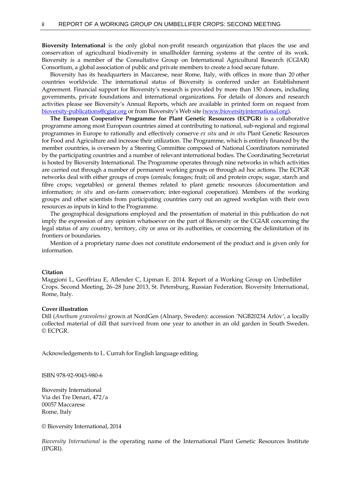**Bioversity International** is the only global non-profit research organization that places the use and conservation of agricultural biodiversity in smallholder farming systems at the centre of its work. Bioversity is a member of the Consultative Group on International Agricultural Research (CGIAR) Consortium, a global association of public and private members to create a food secure future.

Bioversity has its headquarters in Maccarese, near Rome, Italy, with offices in more than 20 other countries worldwide. The international status of Bioversity is conferred under an Establishment Agreement. Financial support for Bioversity's research is provided by more than 150 donors, including governments, private foundations and international organizations. For details of donors and research activities please see Bioversity's Annual Reports, which are available in printed form on request from [bioversity-publications@cgiar.org](mailto:bioversity-publications@cgiar.org) or from Bioversity's Web site ([www.bioversityinternational.org\)](http://www.bioversityinternational.org/).

**The European Cooperative Programme for Plant Genetic Resources (ECPGR)** is a collaborative programme among most European countries aimed at contributing to national, sub-regional and regional programmes in Europe to rationally and effectively conserve *ex situ* and *in situ* Plant Genetic Resources for Food and Agriculture and increase their utilization. The Programme, which is entirely financed by the member countries, is overseen by a Steering Committee composed of National Coordinators nominated by the participating countries and a number of relevant international bodies. The Coordinating Secretariat is hosted by Bioversity International. The Programme operates through nine networks in which activities are carried out through a number of permanent working groups or through ad hoc actions. The ECPGR networks deal with either groups of crops (cereals; forages; fruit; oil and protein crops; sugar, starch and fibre crops; vegetables) or general themes related to plant genetic resources (documentation and information; *in situ* and on-farm conservation; inter-regional cooperation). Members of the working groups and other scientists from participating countries carry out an agreed workplan with their own resources as inputs in kind to the Programme.

The geographical designations employed and the presentation of material in this publication do not imply the expression of any opinion whatsoever on the part of Bioversity or the CGIAR concerning the legal status of any country, territory, city or area or its authorities, or concerning the delimitation of its frontiers or boundaries.

Mention of a proprietary name does not constitute endorsement of the product and is given only for information.

#### **Citation**

Maggioni L, Geoffriau E, Allender C, Lipman E. 2014. Report of a Working Group on Umbellifer Crops. Second Meeting, 26–28 June 2013, St. Petersburg, Russian Federation. Bioversity International, Rome, Italy.

#### **Cover illustration**

Dill (*Anethum graveolens)* grown at NordGen (Alnarp, Sweden): accession *'*NGB20234 Arlöv', a locally collected material of dill that survived from one year to another in an old garden in South Sweden. © ECPGR.

Acknowledgements to L. Currah for English language editing.

ISBN 978-92-9043-980-6

Bioversity International Via dei Tre Denari, 472/a 00057 Maccarese Rome, Italy

© Bioversity International, 2014

*Bioversity International* is the operating name of the International Plant Genetic Resources Institute (IPGRI).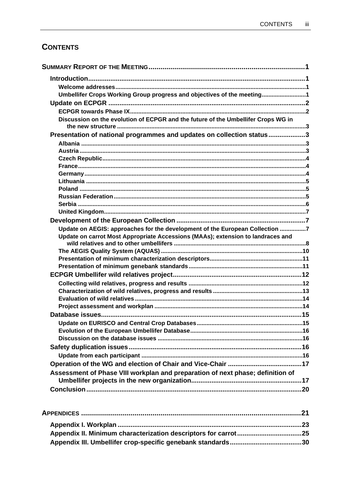# **CONTENTS**

| Umbellifer Crops Working Group progress and objectives of the meeting1                                                                                          |  |
|-----------------------------------------------------------------------------------------------------------------------------------------------------------------|--|
|                                                                                                                                                                 |  |
|                                                                                                                                                                 |  |
| Discussion on the evolution of ECPGR and the future of the Umbellifer Crops WG in                                                                               |  |
| Presentation of national programmes and updates on collection status3                                                                                           |  |
|                                                                                                                                                                 |  |
|                                                                                                                                                                 |  |
|                                                                                                                                                                 |  |
|                                                                                                                                                                 |  |
|                                                                                                                                                                 |  |
|                                                                                                                                                                 |  |
|                                                                                                                                                                 |  |
|                                                                                                                                                                 |  |
|                                                                                                                                                                 |  |
|                                                                                                                                                                 |  |
|                                                                                                                                                                 |  |
| Update on AEGIS: approaches for the development of the European Collection 7<br>Update on carrot Most Appropriate Accessions (MAAs); extension to landraces and |  |
|                                                                                                                                                                 |  |
|                                                                                                                                                                 |  |
|                                                                                                                                                                 |  |
|                                                                                                                                                                 |  |
|                                                                                                                                                                 |  |
|                                                                                                                                                                 |  |
|                                                                                                                                                                 |  |
|                                                                                                                                                                 |  |
|                                                                                                                                                                 |  |
|                                                                                                                                                                 |  |
|                                                                                                                                                                 |  |
|                                                                                                                                                                 |  |
|                                                                                                                                                                 |  |
|                                                                                                                                                                 |  |
|                                                                                                                                                                 |  |
|                                                                                                                                                                 |  |
|                                                                                                                                                                 |  |
|                                                                                                                                                                 |  |
| Assessment of Phase VIII workplan and preparation of next phase; definition of                                                                                  |  |
|                                                                                                                                                                 |  |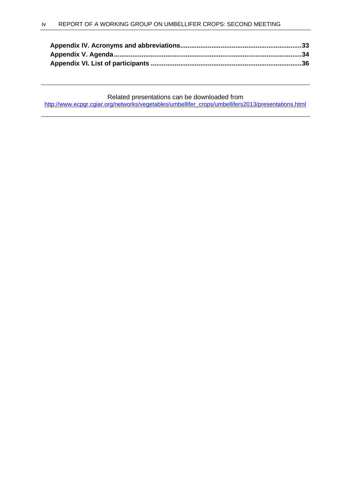#### Related presentations can be downloaded from

[http://www.ecpgr.cgiar.org/networks/vegetables/umbellifer\\_crops/umbellifers2013/presentations.html](http://www.ecpgr.cgiar.org/networks/vegetables/umbellifer_crops/umbellifers2013/presentations.html)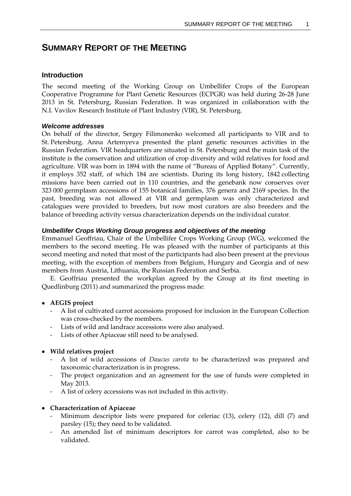# **SUMMARY REPORT OF THE MEETING**

# **Introduction**

The second meeting of the Working Group on Umbellifer Crops of the European Cooperative Programme for Plant Genetic Resources (ECPGR) was held during 26-28 June 2013 in St. Petersburg, Russian Federation. It was organized in collaboration with the N.I. Vavilov Research Institute of Plant Industry (VIR), St. Petersburg.

# *Welcome addresses*

On behalf of the director, Sergey Filimonenko welcomed all participants to VIR and to St. Petersburg. Anna Artemyeva presented the plant genetic resources activities in the Russian Federation. VIR headquarters are situated in St. Petersburg and the main task of the institute is the conservation and utilization of crop diversity and wild relatives for food and agriculture. VIR was born in 1894 with the name of "Bureau of Applied Botany". Currently, it employs 352 staff, of which 184 are scientists. During its long history, 1842 collecting missions have been carried out in 110 countries, and the genebank now conserves over 323 000 germplasm accessions of 155 botanical families, 376 genera and 2169 species. In the past, breeding was not allowed at VIR and germplasm was only characterized and catalogues were provided to breeders, but now most curators are also breeders and the balance of breeding activity versus characterization depends on the individual curator.

# *Umbellifer Crops Working Group progress and objectives of the meeting*

Emmanuel Geoffriau, Chair of the Umbellifer Crops Working Group (WG), welcomed the members to the second meeting. He was pleased with the number of participants at this second meeting and noted that most of the participants had also been present at the previous meeting, with the exception of members from Belgium, Hungary and Georgia and of new members from Austria, Lithuania, the Russian Federation and Serbia.

E. Geoffriau presented the workplan agreed by the Group at its first meeting in Quedlinburg (2011) and summarized the progress made:

# **AEGIS project**

- A list of cultivated carrot accessions proposed for inclusion in the European Collection was cross-checked by the members.
- Lists of wild and landrace accessions were also analysed.
- Lists of other Apiaceae still need to be analysed.

# **Wild relatives project**

- A list of wild accessions of *Daucus carota* to be characterized was prepared and taxonomic characterization is in progress.
- The project organization and an agreement for the use of funds were completed in May 2013.
- A list of celery accessions was not included in this activity.

# **Characterization of Apiaceae**

- Minimum descriptor lists were prepared for celeriac (13), celery (12), dill (7) and parsley (15); they need to be validated.
- An amended list of minimum descriptors for carrot was completed, also to be validated.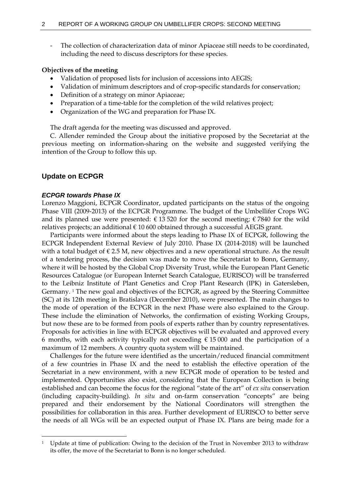The collection of characterization data of minor Apiaceae still needs to be coordinated, including the need to discuss descriptors for these species.

# **Objectives of the meeting**

- Validation of proposed lists for inclusion of accessions into AEGIS;
- Validation of minimum descriptors and of crop-specific standards for conservation;
- Definition of a strategy on minor Apiaceae;
- Preparation of a time-table for the completion of the wild relatives project;
- Organization of the WG and preparation for Phase IX.

The draft agenda for the meeting was discussed and approved.

C. Allender reminded the Group about the initiative proposed by the Secretariat at the previous meeting on information-sharing on the website and suggested verifying the intention of the Group to follow this up.

# **Update on ECPGR**

 $\overline{a}$ 

# *ECPGR towards Phase IX*

Lorenzo Maggioni, ECPGR Coordinator, updated participants on the status of the ongoing Phase VIII (2009-2013) of the ECPGR Programme. The budget of the Umbellifer Crops WG and its planned use were presented:  $\epsilon$  13 520 for the second meeting;  $\epsilon$  7840 for the wild relatives projects; an additional  $\epsilon$  10 600 obtained through a successful AEGIS grant.

Participants were informed about the steps leading to Phase IX of ECPGR, following the ECPGR Independent External Review of July 2010. Phase IX (2014-2018) will be launched with a total budget of  $\epsilon$  2.5 M, new objectives and a new operational structure. As the result of a tendering process, the decision was made to move the Secretariat to Bonn, Germany, where it will be hosted by the Global Crop Diversity Trust, while the European Plant Genetic Resources Catalogue (or European Internet Search Catalogue, EURISCO) will be transferred to the Leibniz Institute of Plant Genetics and Crop Plant Research (IPK) in Gatersleben, Germany. <sup>1</sup> The new goal and objectives of the ECPGR, as agreed by the Steering Committee (SC) at its 12th meeting in Bratislava (December 2010), were presented. The main changes to the mode of operation of the ECPGR in the next Phase were also explained to the Group. These include the elimination of Networks, the confirmation of existing Working Groups, but now these are to be formed from pools of experts rather than by country representatives. Proposals for activities in line with ECPGR objectives will be evaluated and approved every 6 months, with each activity typically not exceeding  $\epsilon$  15 000 and the participation of a maximum of 12 members. A country quota system will be maintained.

Challenges for the future were identified as the uncertain/reduced financial commitment of a few countries in Phase IX and the need to establish the effective operation of the Secretariat in a new environment, with a new ECPGR mode of operation to be tested and implemented. Opportunities also exist, considering that the European Collection is being established and can become the focus for the regional "state of the art" of *ex situ* conservation (including capacity-building). *In situ* and on-farm conservation "concepts" are being prepared and their endorsement by the National Coordinators will strengthen the possibilities for collaboration in this area. Further development of EURISCO to better serve the needs of all WGs will be an expected output of Phase IX. Plans are being made for a

<sup>1</sup> Update at time of publication: Owing to the decision of the Trust in November 2013 to withdraw its offer, the move of the Secretariat to Bonn is no longer scheduled.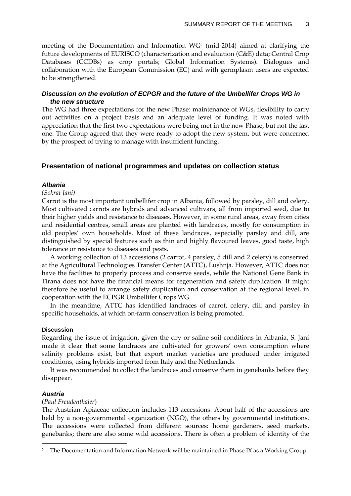meeting of the Documentation and Information WG<sup>2</sup> (mid-2014) aimed at clarifying the future developments of EURISCO (characterization and evaluation (C&E) data; Central Crop Databases (CCDBs) as crop portals; Global Information Systems). Dialogues and collaboration with the European Commission (EC) and with germplasm users are expected to be strengthened.

# *Discussion on the evolution of ECPGR and the future of the Umbellifer Crops WG in the new structure*

The WG had three expectations for the new Phase: maintenance of WGs, flexibility to carry out activities on a project basis and an adequate level of funding. It was noted with appreciation that the first two expectations were being met in the new Phase, but not the last one. The Group agreed that they were ready to adopt the new system, but were concerned by the prospect of trying to manage with insufficient funding.

# **Presentation of national programmes and updates on collection status**

# *Albania*

*(Sokrat Jani)*

Carrot is the most important umbellifer crop in Albania, followed by parsley, dill and celery. Most cultivated carrots are hybrids and advanced cultivars, all from imported seed, due to their higher yields and resistance to diseases. However, in some rural areas, away from cities and residential centres, small areas are planted with landraces, mostly for consumption in old peoples' own households. Most of these landraces, especially parsley and dill, are distinguished by special features such as thin and highly flavoured leaves, good taste, high tolerance or resistance to diseases and pests.

A working collection of 13 accessions (2 carrot, 4 parsley, 5 dill and 2 celery) is conserved at the Agricultural Technologies Transfer Center (ATTC), Lushnja. However, ATTC does not have the facilities to properly process and conserve seeds, while the National Gene Bank in Tirana does not have the financial means for regeneration and safety duplication. It might therefore be useful to arrange safety duplication and conservation at the regional level, in cooperation with the ECPGR Umbellifer Crops WG.

In the meantime, ATTC has identified landraces of carrot, celery, dill and parsley in specific households, at which on-farm conservation is being promoted.

#### **Discussion**

Regarding the issue of irrigation, given the dry or saline soil conditions in Albania, S. Jani made it clear that some landraces are cultivated for growers' own consumption where salinity problems exist, but that export market varieties are produced under irrigated conditions, using hybrids imported from Italy and the Netherlands.

It was recommended to collect the landraces and conserve them in genebanks before they disappear.

#### *Austria*

 $\overline{a}$ 

#### (*Paul Freudenthaler*)

The Austrian Apiaceae collection includes 113 accessions. About half of the accessions are held by a non-governmental organization (NGO), the others by governmental institutions. The accessions were collected from different sources: home gardeners, seed markets, genebanks; there are also some wild accessions. There is often a problem of identity of the

<sup>2</sup> The Documentation and Information Network will be maintained in Phase IX as a Working Group.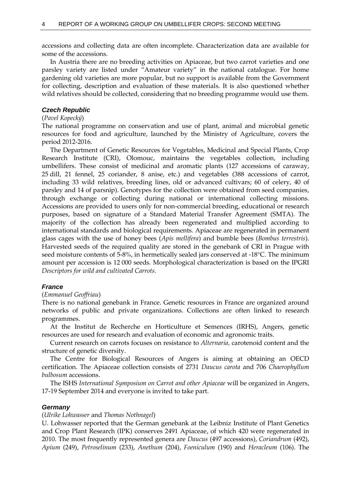accessions and collecting data are often incomplete. Characterization data are available for some of the accessions.

In Austria there are no breeding activities on Apiaceae, but two carrot varieties and one parsley variety are listed under "Amateur variety" in the national catalogue. For home gardening old varieties are more popular, but no support is available from the Government for collecting, description and evaluation of these materials. It is also questioned whether wild relatives should be collected, considering that no breeding programme would use them.

#### *Czech Republic*

#### (*Pavel Kopecký*)

The national programme on conservation and use of plant, animal and microbial genetic resources for food and agriculture, launched by the Ministry of Agriculture, covers the period 2012-2016.

The Department of Genetic Resources for Vegetables, Medicinal and Special Plants, Crop Research Institute (CRI), Olomouc, maintains the vegetables collection, including umbellifers. These consist of medicinal and aromatic plants (127 accessions of caraway, 25 dill, 21 fennel, 25 coriander, 8 anise, etc.) and vegetables (388 accessions of carrot, including 33 wild relatives, breeding lines, old or advanced cultivars; 60 of celery, 40 of parsley and 14 of parsnip). Genotypes for the collection were obtained from seed companies, through exchange or collecting during national or international collecting missions. Accessions are provided to users only for non-commercial breeding, educational or research purposes, based on signature of a Standard Material Transfer Agreement (SMTA). The majority of the collection has already been regenerated and multiplied according to international standards and biological requirements. Apiaceae are regenerated in permanent glass cages with the use of honey bees (*Apis mellifera*) and bumble bees (*Bombus terrestris*). Harvested seeds of the required quality are stored in the genebank of CRI in Prague with seed moisture contents of 5-8%, in hermetically sealed jars conserved at -18°C. The minimum amount per accession is 12 000 seeds. Morphological characterization is based on the IPGRI *Descriptors for wild and cultivated Carrots.*

#### *France*

### (*Emmanuel Geoffriau*)

There is no national genebank in France. Genetic resources in France are organized around networks of public and private organizations. Collections are often linked to research programmes.

At the Institut de Recherche en Horticulture et Semences (IRHS), Angers, genetic resources are used for research and evaluation of economic and agronomic traits.

Current research on carrots focuses on resistance to *Alternaria,* carotenoid content and the structure of genetic diversity.

The Centre for Biological Resources of Angers is aiming at obtaining an OECD certification. The Apiaceae collection consists of 2731 *Daucus carota* and 706 *Chaerophyllum bulbosum* accessions.

The ISHS *International Symposium on Carrot and other Apiaceae* will be organized in Angers, 17-19 September 2014 and everyone is invited to take part.

#### *Germany*

### (*Ulrike Lohwasser* and *Thomas Nothnagel*)

U. Lohwasser reported that the German genebank at the Leibniz Institute of Plant Genetics and Crop Plant Research (IPK) conserves 2491 Apiaceae, of which 420 were regenerated in 2010. The most frequently represented genera are *Daucus* (497 accessions), *Coriandrum* (492), *Apium* (249), *Petroselinum* (233), *Anethum* (204), *Foeniculum* (190) and *Heracleum* (106). The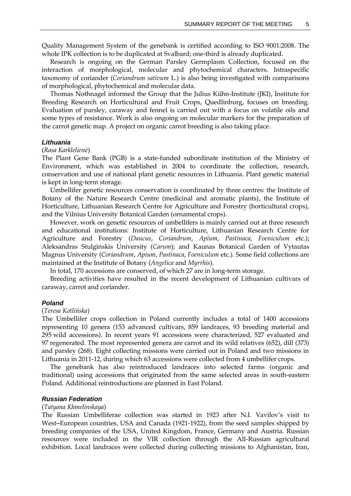Quality Management System of the genebank is certified according to ISO 9001:2008. The whole IPK collection is to be duplicated at Svalbard; one-third is already duplicated.

Research is ongoing on the German Parsley Germplasm Collection, focused on the interaction of morphological, molecular and phytochemical characters. Intraspecific taxonomy of coriander (*Coriandrum sativum* L.) is also being investigated with comparisons of morphological, phytochemical and molecular data.

Thomas Nothnagel informed the Group that the Julius Kühn-Institute (JKI), Institute for Breeding Research on Horticultural and Fruit Crops, Quedlinburg, focuses on breeding. Evaluation of parsley, caraway and fennel is carried out with a focus on volatile oils and some types of resistance. Work is also ongoing on molecular markers for the preparation of the carrot genetic map. A project on organic carrot breeding is also taking place.

#### *Lithuania*

#### (*Rasa Karklelienė*)

The Plant Gene Bank (PGB) is a state-funded subordinate institution of the Ministry of Environment, which was established in 2004 to coordinate the collection, research, conservation and use of national plant genetic resources in Lithuania. Plant genetic material is kept in long-term storage.

Umbellifer genetic resources conservation is coordinated by three centres: the Institute of Botany of the Nature Research Centre (medicinal and aromatic plants), the Institute of Horticulture, Lithuanian Research Centre for Agriculture and Forestry (horticultural crops), and the Vilnius University Botanical Garden (ornamental crops).

However, work on genetic resources of umbellifers is mainly carried out at three research and educational institutions: Institute of Horticulture, Lithuanian Research Centre for Agriculture and Forestry (*Daucus*, *Coriandrum*, *Apium*, *Pastinaca*, *Foeniculum* etc.); Aleksandras Stulginskis University (*Carum*); and Kaunas Botanical Garden of Vytautas Magnus University (*Coriandrum*, *Apium*, *Pastinaca*, *Foeniculum* etc.). Some field collections are maintained at the Institute of Botany (*Angelica* and *Myrrhis*).

In total, 170 accessions are conserved, of which 27 are in long-term storage.

Breeding activities have resulted in the recent development of Lithuanian cultivars of caraway, carrot and coriander.

#### *Poland*

#### (*Teresa Kotlińska*)

The Umbellifer crops collection in Poland currently includes a total of 1400 accessions representing 10 genera (153 advanced cultivars, 859 landraces, 93 breeding material and 295 wild accessions). In recent years 91 accessions were characterized, 527 evaluated and 97 regenerated. The most represented genera are carrot and its wild relatives (652), dill (373) and parsley (268). Eight collecting missions were carried out in Poland and two missions in Lithuania in 2011-12, during which 63 accessions were collected from 4 umbellifer crops.

The genebank has also reintroduced landraces into selected farms (organic and traditional) using accessions that originated from the same selected areas in south-eastern Poland. Additional reintroductions are planned in East Poland.

# *Russian Federation*

#### (*Tatyana Khmelinskaya*)

The Russian Umbelliferae collection was started in 1923 after N.I. Vavilov's visit to West-European countries, USA and Canada (1921-1922), from the seed samples shipped by breeding companies of the USA, United Kingdom, France, Germany and Austria. Russian resources were included in the VIR collection through the All-Russian agricultural exhibition. Local landraces were collected during collecting missions to Afghanistan, Iran,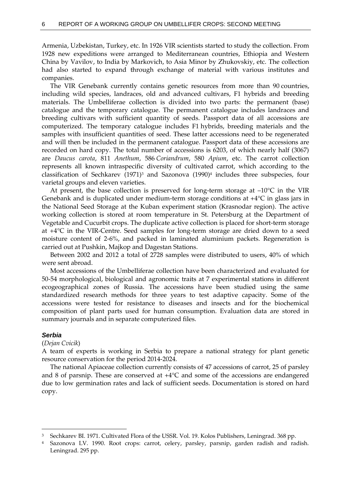Armenia, Uzbekistan, Turkey, etc. In 1926 VIR scientists started to study the collection. From 1928 new expeditions were arranged to Mediterranean countries, Ethiopia and Western China by Vavilov, to India by Markovich, to Asia Minor by Zhukovskiy, etc. The collection had also started to expand through exchange of material with various institutes and companies.

The VIR Genebank currently contains genetic resources from more than 90 countries, including wild species, landraces, old and advanced cultivars, F1 hybrids and breeding materials. The Umbelliferae collection is divided into two parts: the permanent (base) catalogue and the temporary catalogue. The permanent catalogue includes landraces and breeding cultivars with sufficient quantity of seeds. Passport data of all accessions are computerized. The temporary catalogue includes F1 hybrids, breeding materials and the samples with insufficient quantities of seed. These latter accessions need to be regenerated and will then be included in the permanent catalogue. Passport data of these accessions are recorded on hard copy. The total number of accessions is 6203, of which nearly half (3067) are *Daucus carota*, 811 *Anethum*, 586 *Coriandrum*, 580 *Apium*, etc. The carrot collection represents all known intraspecific diversity of cultivated carrot, which according to the classification of Sechkarev (1971)<sup>3</sup> and Sazonova (1990)<sup>4</sup> includes three subspecies, four varietal groups and eleven varieties.

At present, the base collection is preserved for long-term storage at  $-10^{\circ}$ C in the VIR Genebank and is duplicated under medium-term storage conditions at +4°C in glass jars in the National Seed Storage at the Kuban experiment station (Krasnodar region). The active working collection is stored at room temperature in St. Petersburg at the Department of Vegetable and Cucurbit crops. The duplicate active collection is placed for short-term storage at +4°C in the VIR-Centre. Seed samples for long-term storage are dried down to a seed moisture content of 2-6%, and packed in laminated aluminium packets. Regeneration is carried out at Pushkin, Majkop and Dagestan Stations.

Between 2002 and 2012 a total of 2728 samples were distributed to users, 40% of which were sent abroad.

Most accessions of the Umbelliferae collection have been characterized and evaluated for 50-54 morphological, biological and agronomic traits at 7 experimental stations in different ecogeographical zones of Russia. The accessions have been studied using the same standardized research methods for three years to test adaptive capacity. Some of the accessions were tested for resistance to diseases and insects and for the biochemical composition of plant parts used for human consumption. Evaluation data are stored in summary journals and in separate computerized files.

#### *Serbia*

 $\overline{a}$ 

#### (*Dejan Cvicik*)

A team of experts is working in Serbia to prepare a national strategy for plant genetic resource conservation for the period 2014-2024.

The national Apiaceae collection currently consists of 47 accessions of carrot, 25 of parsley and 8 of parsnip. These are conserved at +4°C and some of the accessions are endangered due to low germination rates and lack of sufficient seeds. Documentation is stored on hard copy.

<sup>3</sup> Sechkarev BI. 1971. Cultivated Flora of the USSR. Vol. 19. Kolos Publishers, Leningrad. 368 pp.

<sup>4</sup> Sazonova LV. 1990. Root crops: carrot, celery, parsley, parsnip, garden radish and radish. Leningrad. 295 pp.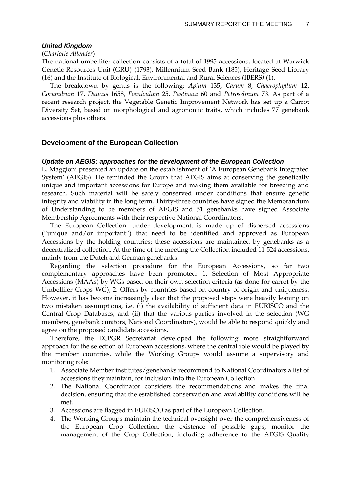# *United Kingdom*

#### (*Charlotte Allender*)

The national umbellifer collection consists of a total of 1995 accessions, located at Warwick Genetic Resources Unit (GRU) (1793), Millennium Seed Bank (185), Heritage Seed Library (16) and the Institute of Biological, Environmental and Rural Sciences *(*IBERS*)* (1).

The breakdown by genus is the following: *Apium* 135, *Carum* 8, *Chaerophyllum* 12, *Coriandrum* 17, *Daucus* 1658, *Foeniculum* 25, *Pastinaca* 60 and *Petroselinum* 73. As part of a recent research project, the Vegetable Genetic Improvement Network has set up a Carrot Diversity Set, based on morphological and agronomic traits, which includes 77 genebank accessions plus others.

#### **Development of the European Collection**

#### *Update on AEGIS: approaches for the development of the European Collection*

L. Maggioni presented an update on the establishment of 'A European Genebank Integrated System' (AEGIS). He reminded the Group that AEGIS aims at conserving the genetically unique and important accessions for Europe and making them available for breeding and research. Such material will be safely conserved under conditions that ensure genetic integrity and viability in the long term. Thirty-three countries have signed the Memorandum of Understanding to be members of AEGIS and 51 genebanks have signed Associate Membership Agreements with their respective National Coordinators.

The European Collection, under development, is made up of dispersed accessions ("unique and/or important") that need to be identified and approved as European Accessions by the holding countries; these accessions are maintained by genebanks as a decentralized collection. At the time of the meeting the Collection included 11 524 accessions, mainly from the Dutch and German genebanks.

Regarding the selection procedure for the European Accessions, so far two complementary approaches have been promoted: 1. Selection of Most Appropriate Accessions (MAAs) by WGs based on their own selection criteria (as done for carrot by the Umbellifer Crops WG); 2. Offers by countries based on country of origin and uniqueness. However, it has become increasingly clear that the proposed steps were heavily leaning on two mistaken assumptions, i.e. (i) the availability of sufficient data in EURISCO and the Central Crop Databases, and (ii) that the various parties involved in the selection (WG members, genebank curators, National Coordinators), would be able to respond quickly and agree on the proposed candidate accessions.

Therefore, the ECPGR Secretariat developed the following more straightforward approach for the selection of European accessions, where the central role would be played by the member countries, while the Working Groups would assume a supervisory and monitoring role:

- 1. Associate Member institutes/genebanks recommend to National Coordinators a list of accessions they maintain, for inclusion into the European Collection.
- 2. The National Coordinator considers the recommendations and makes the final decision, ensuring that the established conservation and availability conditions will be met.
- 3. Accessions are flagged in EURISCO as part of the European Collection.
- 4. The Working Groups maintain the technical oversight over the comprehensiveness of the European Crop Collection, the existence of possible gaps, monitor the management of the Crop Collection, including adherence to the AEGIS Quality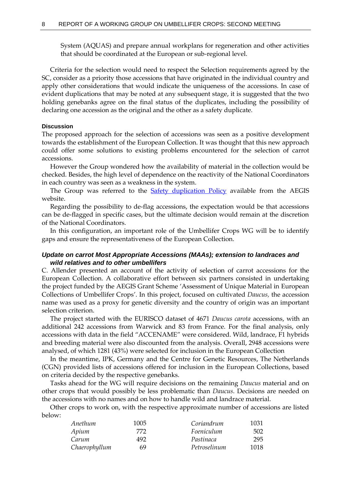System (AQUAS) and prepare annual workplans for regeneration and other activities that should be coordinated at the European or sub-regional level.

Criteria for the selection would need to respect the Selection requirements agreed by the SC, consider as a priority those accessions that have originated in the individual country and apply other considerations that would indicate the uniqueness of the accessions. In case of evident duplications that may be noted at any subsequent stage, it is suggested that the two holding genebanks agree on the final status of the duplicates, including the possibility of declaring one accession as the original and the other as a safety duplicate.

# **Discussion**

The proposed approach for the selection of accessions was seen as a positive development towards the establishment of the European Collection. It was thought that this new approach could offer some solutions to existing problems encountered for the selection of carrot accessions.

However the Group wondered how the availability of material in the collection would be checked. Besides, the high level of dependence on the reactivity of the National Coordinators in each country was seen as a weakness in the system.

The Group was referred to the [Safety duplication Policy](http://aegis.cgiar.org/fileadmin/www.aegis.org/Documents/AQUAS/Safety_duplication/Final_version_AEGIS_Safety_Duplication_policy_06_03_13.pdf) available from the AEGIS website.

Regarding the possibility to de-flag accessions, the expectation would be that accessions can be de-flagged in specific cases, but the ultimate decision would remain at the discretion of the National Coordinators.

In this configuration, an important role of the Umbellifer Crops WG will be to identify gaps and ensure the representativeness of the European Collection.

# *Update on carrot Most Appropriate Accessions (MAAs); extension to landraces and wild relatives and to other umbellifers*

C. Allender presented an account of the activity of selection of carrot accessions for the European Collection. A collaborative effort between six partners consisted in undertaking the project funded by the AEGIS Grant Scheme 'Assessment of Unique Material in European Collections of Umbellifer Crops'. In this project, focused on cultivated *Daucus,* the accession name was used as a proxy for genetic diversity and the country of origin was an important selection criterion.

The project started with the EURISCO dataset of 4671 *Daucus carota* accessions, with an additional 242 accessions from Warwick and 83 from France. For the final analysis, only accessions with data in the field "ACCENAME" were considered. Wild, landrace, F1 hybrids and breeding material were also discounted from the analysis. Overall, 2948 accessions were analysed, of which 1281 (43%) were selected for inclusion in the European Collection

In the meantime, IPK, Germany and the Centre for Genetic Resources, The Netherlands (CGN) provided lists of accessions offered for inclusion in the European Collections, based on criteria decided by the respective genebanks.

Tasks ahead for the WG will require decisions on the remaining *Daucus* material and on other crops that would possibly be less problematic than *Daucus*. Decisions are needed on the accessions with no names and on how to handle wild and landrace material.

Other crops to work on, with the respective approximate number of accessions are listed below:

| Anethum       | 1005 | Coriandrum   | 1031 |
|---------------|------|--------------|------|
| Apium         | 772  | Foeniculum   | 502  |
| Carum         | 492  | Pastinaca    | 295  |
| Chaerophyllum | 69   | Petroselinum | 1018 |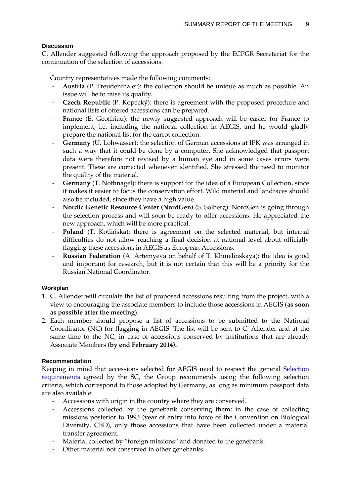# **Discussion**

C. Allender suggested following the approach proposed by the ECPGR Secretariat for the continuation of the selection of accessions.

Country representatives made the following comments:

- Austria (P. Freudenthaler): the collection should be unique as much as possible. An issue will be to raise its quality.
- **Czech Republic** (P. Kopecký): there is agreement with the proposed procedure and national lists of offered accessions can be prepared.
- France (E. Geoffriau): the newly suggested approach will be easier for France to implement, i.e. including the national collection in AEGIS, and he would gladly prepare the national list for the carrot collection.
- Germany (U. Lohwasser): the selection of German accessions at IPK was arranged in such a way that it could be done by a computer. She acknowledged that passport data were therefore not revised by a human eye and in some cases errors were present. These are corrected whenever identified. She stressed the need to monitor the quality of the material.
- **Germany** (T. Nothnagel): there is support for the idea of a European Collection, since it makes it easier to focus the conservation effort. Wild material and landraces should also be included, since they have a high value.
- **Nordic Genetic Resource Center (NordGen)** (S. Solberg): NordGen is going through the selection process and will soon be ready to offer accessions. He appreciated the new approach, which will be more practical.
- **Poland** (T. Kotlińska): there is agreement on the selected material, but internal difficulties do not allow reaching a final decision at national level about officially flagging these accessions in AEGIS as European Accessions.
- **Russian Federation** (A. Artemyeva on behalf of T. Khmelinskaya): the idea is good and important for research, but it is not certain that this will be a priority for the Russian National Coordinator.

# **Workplan**

- 1. C. Allender will circulate the list of proposed accessions resulting from the project, with a view to encouraging the associate members to include those accessions in AEGIS (**as soon as possible after the meeting**).
- 2. Each member should propose a list of accessions to be submitted to the National Coordinator (NC) for flagging in AEGIS. The list will be sent to C. Allender and at the same time to the NC, in case of accessions conserved by institutions that are already Associate Members (**by end February 2014).**

# **Recommendation**

Keeping in mind that accessions selected for AEGIS need to respect the general **Selection** [requirements](http://aegis.cgiar.org/european_collection/selection_requirements_and_criteria.html) agreed by the SC, the Group recommends using the following selection criteria, which correspond to those adopted by Germany, as long as minimum passport data are also available:

- Accessions with origin in the country where they are conserved.
- Accessions collected by the genebank conserving them; in the case of collecting missions posterior to 1993 (year of entry into force of the Convention on Biological Diversity, CBD), only those accessions that have been collected under a material transfer agreement.
- Material collected by "foreign missions" and donated to the genebank.
- Other material not conserved in other genebanks.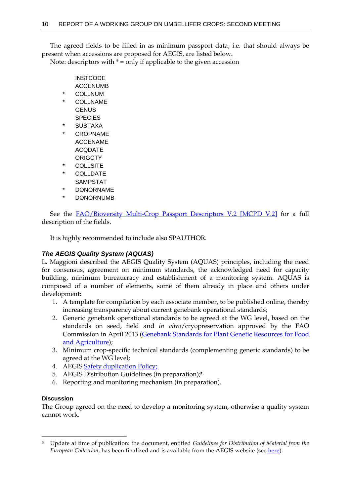The agreed fields to be filled in as minimum passport data, i.e. that should always be present when accessions are proposed for AEGIS, are listed below.

Note: descriptors with  $* =$  only if applicable to the given accession

- **INSTCODE** ACCENUMB
- **COLLNUM**
- **COLLNAME GENUS** SPECIES
- **SUBTAXA**
- **CROPNAME** ACCENAME ACQDATE **ORIGCTY**
- **COLLSITE**
- **COLLDATE** SAMPSTAT
- DONORNAME
- DONORNUMB

See the **[FAO/Bioversity Multi-Crop Passport Descriptors V.2 \[MCPD V.2\]](http://www.bioversityinternational.org/uploads/tx_news/1526.pdf)** for a full description of the fields.

It is highly recommended to include also SPAUTHOR.

# *The AEGIS Quality System (AQUAS)*

L. Maggioni described the AEGIS Quality System (AQUAS) principles, including the need for consensus, agreement on minimum standards, the acknowledged need for capacity building, minimum bureaucracy and establishment of a monitoring system. AQUAS is composed of a number of elements, some of them already in place and others under development:

- 1. A template for compilation by each associate member, to be published online, thereby increasing transparency about current genebank operational standards;
- 2. Generic genebank operational standards to be agreed at the WG level, based on the standards on seed, field and *in vitro*/cryopreservation approved by the FAO Commission in April 2013 [\(Genebank Standards for Plant Genetic Resources for Food](http://www.fao.org/fileadmin/templates/agphome/documents/PGR/genebank/GeneBank_ENG_WebFile.pdf)  [and Agriculture\)](http://www.fao.org/fileadmin/templates/agphome/documents/PGR/genebank/GeneBank_ENG_WebFile.pdf);
- 3. Minimum crop-specific technical standards (complementing generic standards) to be agreed at the WG level;
- 4. AEGIS [Safety duplication Policy;](http://aegis.cgiar.org/fileadmin/www.aegis.org/Documents/AQUAS/Safety_duplication/Final_version_AEGIS_Safety_Duplication_policy_06_03_13.pdf)
- 5. AEGIS Distribution Guidelines (in preparation); 5
- 6. Reporting and monitoring mechanism (in preparation).

# **Discussion**

 $\overline{a}$ 

The Group agreed on the need to develop a monitoring system, otherwise a quality system cannot work.

<sup>5</sup> Update at time of publication: the document, entitled *Guidelines for Distribution of Material from the European Collection*, has been finalized and is available from the AEGIS website (see [here\)](http://aegis.cgiar.org/aquas/policies.html).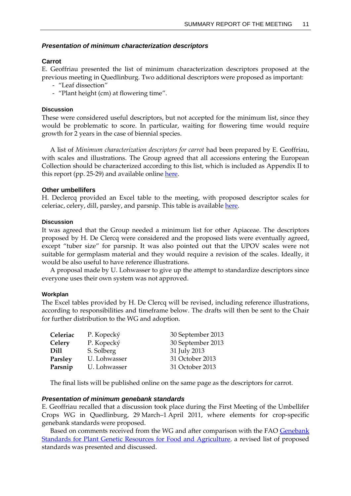# *Presentation of minimum characterization descriptors*

# **Carrot**

E. Geoffriau presented the list of minimum characterization descriptors proposed at the previous meeting in Quedlinburg. Two additional descriptors were proposed as important:

- "Leaf dissection"
- "Plant height (cm) at flowering time".

#### **Discussion**

These were considered useful descriptors, but not accepted for the minimum list, since they would be problematic to score. In particular, waiting for flowering time would require growth for 2 years in the case of biennial species.

A list of *Minimum characterization descriptors for carrot* had been prepared by E. Geoffriau, with scales and illustrations. The Group agreed that all accessions entering the European Collection should be characterized according to this list, which is included as Appendix II to this report (pp. [25-](#page-30-0)29) and available online [here.](http://www.ecpgr.cgiar.org/networks/vegetables/umbellifer_crops/other_working_group_documents.html)

# **Other umbellifers**

H. Declercq provided an Excel table to the meeting, with proposed descriptor scales for celeriac, celery, dill, parsley, and parsnip. This table is available [here.](http://www.ecpgr.cgiar.org/fileadmin/www.ecpgr.cgiar.org/Presentations/Umbellifer_2013_Russian_Fed/emmanuel/Other_Umbellifer_Minimum_Descriptors_Validated_UmbelWG_260613.xls)

### **Discussion**

It was agreed that the Group needed a minimum list for other Apiaceae. The descriptors proposed by H. De Clercq were considered and the proposed lists were eventually agreed, except "tuber size" for parsnip. It was also pointed out that the UPOV scales were not suitable for germplasm material and they would require a revision of the scales. Ideally, it would be also useful to have reference illustrations.

A proposal made by U. Lohwasser to give up the attempt to standardize descriptors since everyone uses their own system was not approved.

#### **Workplan**

The Excel tables provided by H. De Clercq will be revised, including reference illustrations, according to responsibilities and timeframe below. The drafts will then be sent to the Chair for further distribution to the WG and adoption.

| Celeriac | P. Kopecký   | 30 September 2013 |
|----------|--------------|-------------------|
| Celery   | P. Kopecký   | 30 September 2013 |
| Dill     | S. Solberg   | 31 July 2013      |
| Parsley  | U. Lohwasser | 31 October 2013   |
| Parsnip  | U. Lohwasser | 31 October 2013   |

The final lists will be published online on the same page as the descriptors for carrot.

#### *Presentation of minimum genebank standards*

E. Geoffriau recalled that a discussion took place during the First Meeting of the Umbellifer Crops WG in Quedlinburg, 29 March–1 April 2011, where elements for crop-specific genebank standards were proposed.

Based on comments received from the WG and after comparison with the FAO Genebank [Standards for Plant Genetic Resources for Food and Agriculture](http://www.fao.org/fileadmin/templates/agphome/documents/PGR/genebank/GeneBank_ENG_WebFile.pdf)*,* a revised list of proposed standards was presented and discussed.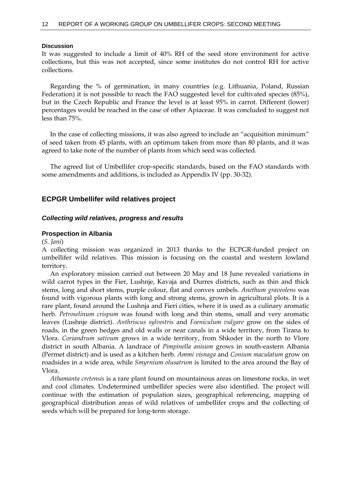#### **Discussion**

It was suggested to include a limit of 40% RH of the seed store environment for active collections, but this was not accepted, since some institutes do not control RH for active collections.

Regarding the % of germination, in many countries (e.g. Lithuania, Poland, Russian Federation) it is not possible to reach the FAO suggested level for cultivated species (85%), but in the Czech Republic and France the level is at least 95% in carrot. Different (lower) percentages would be reached in the case of other Apiaceae. It was concluded to suggest not less than 75%.

In the case of collecting missions, it was also agreed to include an "acquisition minimum" of seed taken from 45 plants, with an optimum taken from more than 80 plants, and it was agreed to take note of the number of plants from which seed was collected.

The agreed list of Umbellifer crop-specific standards, based on the FAO standards with some amendments and additions, is included as Appendix IV (pp. [30-](#page-35-0)32).

# **ECPGR Umbellifer wild relatives project**

#### *Collecting wild relatives, progress and results*

#### **Prospection in Albania**

(*S. Jani*)

A collecting mission was organized in 2013 thanks to the ECPGR-funded project on umbellifer wild relatives. This mission is focusing on the coastal and western lowland territory.

An exploratory mission carried out between 20 May and 18 June revealed variations in wild carrot types in the Fier, Lushnje, Kavaja and Durres districts, such as thin and thick stems, long and short stems, purple colour, flat and convex umbels. *Anethum graveolens* was found with vigorous plants with long and strong stems, grown in agricultural plots. It is a rare plant, found around the Lushnja and Fieri cities, where it is used as a culinary aromatic herb. *Petroselinum crispum* was found with long and thin stems, small and very aromatic leaves (Lushnje district). *Anthriscus sylvestris* and *Foeniculum vulgare* grow on the sides of roads, in the green hedges and old walls or near canals in a wide territory, from Tirana to Vlora. *Coriandrum sativum* grows in a wide territory, from Shkoder in the north to Vlore district in south Albania. A landrace of *Pimpinella anisum* grows in south-eastern Albania (Permet district) and is used as a kitchen herb. *Ammi visnaga* and *Conium maculatum* grow on roadsides in a wide area, while *Smyrnium olusatrum* is limited to the area around the Bay of Vlora.

*Athamanta cretensis* is a rare plant found on mountainous areas on limestone rocks, in wet and cool climates. Undetermined umbellifer species were also identified. The project will continue with the estimation of population sizes, geographical referencing, mapping of geographical distribution areas of wild relatives of umbellifer crops and the collecting of seeds which will be prepared for long-term storage.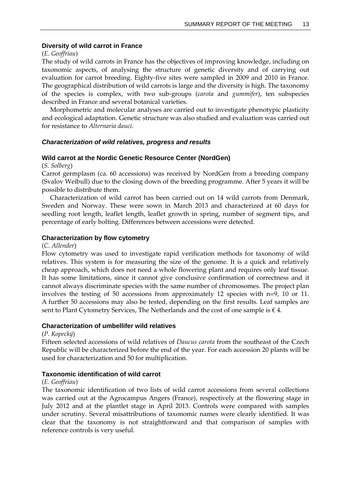# **Diversity of wild carrot in France**

### (*E. Geoffriau*)

The study of wild carrots in France has the objectives of improving knowledge, including on taxonomic aspects, of analysing the structure of genetic diversity and of carrying out evaluation for carrot breeding. Eighty-five sites were sampled in 2009 and 2010 in France. The geographical distribution of wild carrots is large and the diversity is high. The taxonomy of the species is complex, with two sub-groups (*carota* and *gummifer*), ten subspecies described in France and several botanical varieties.

Morphometric and molecular analyses are carried out to investigate phenotypic plasticity and ecological adaptation. Genetic structure was also studied and evaluation was carried out for resistance to *Alternaria dauci*.

# *Characterization of wild relatives, progress and results*

# **Wild carrot at the Nordic Genetic Resource Center (NordGen)**

(*S. Solberg*)

Carrot germplasm (ca. 60 accessions) was received by NordGen from a breeding company (Svalov Weibull) due to the closing down of the breeding programme. After 5 years it will be possible to distribute them.

Characterization of wild carrot has been carried out on 14 wild carrots from Denmark, Sweden and Norway. These were sown in March 2013 and characterized at 60 days for seedling root length, leaflet length, leaflet growth in spring, number of segment tips, and percentage of early bolting. Differences between accessions were detected.

# **Characterization by flow cytometry**

(*C. Allender*)

Flow cytometry was used to investigate rapid verification methods for taxonomy of wild relatives. This system is for measuring the size of the genome. It is a quick and relatively cheap approach, which does not need a whole flowering plant and requires only leaf tissue. It has some limitations, since it cannot give conclusive confirmation of correctness and it cannot always discriminate species with the same number of chromosomes. The project plan involves the testing of 50 accessions from approximately 12 species with n=9, 10 or 11. A further 50 accessions may also be tested, depending on the first results. Leaf samples are sent to Plant Cytometry Services, The Netherlands and the cost of one sample is  $\epsilon$  4.

# **Characterization of umbellifer wild relatives**

(*P. Kopecký*)

Fifteen selected accessions of wild relatives of *Daucus carota* from the southeast of the Czech Republic will be characterized before the end of the year. For each accession 20 plants will be used for characterization and 50 for multiplication.

# **Taxonomic identification of wild carrot**

#### (*E. Geoffriau*)

The taxonomic identification of two lists of wild carrot accessions from several collections was carried out at the Agrocampus Angers (France), respectively at the flowering stage in July 2012 and at the plantlet stage in April 2013. Controls were compared with samples under scrutiny. Several misattributions of taxonomic names were clearly identified. It was clear that the taxonomy is not straightforward and that comparison of samples with reference controls is very useful.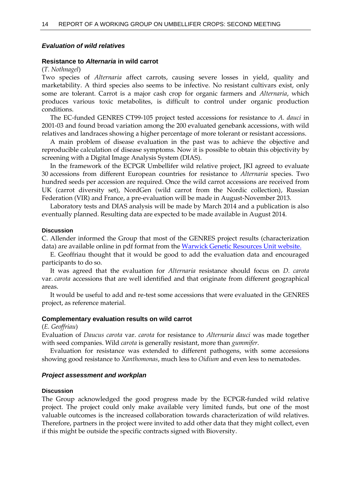#### *Evaluation of wild relatives*

# **Resistance to** *Alternaria* **in wild carrot**

#### (*T. Nothnagel*)

Two species of *Alternaria* affect carrots, causing severe losses in yield, quality and marketability. A third species also seems to be infective. No resistant cultivars exist, only some are tolerant. Carrot is a major cash crop for organic farmers and *Alternaria*, which produces various toxic metabolites, is difficult to control under organic production conditions.

The EC-funded GENRES CT99-105 project tested accessions for resistance to *A. dauci* in 2001-03 and found broad variation among the 200 evaluated genebank accessions, with wild relatives and landraces showing a higher percentage of more tolerant or resistant accessions.

A main problem of disease evaluation in the past was to achieve the objective and reproducible calculation of disease symptoms. Now it is possible to obtain this objectivity by screening with a Digital Image Analysis System (DIAS).

In the framework of the ECPGR Umbellifer wild relative project, JKI agreed to evaluate 30 accessions from different European countries for resistance to *Alternaria* species. Two hundred seeds per accession are required. Once the wild carrot accessions are received from UK (carrot diversity set), NordGen (wild carrot from the Nordic collection), Russian Federation (VIR) and France, a pre-evaluation will be made in August-November 2013.

Laboratory tests and DIAS analysis will be made by March 2014 and a publication is also eventually planned. Resulting data are expected to be made available in August 2014.

#### **Discussion**

C. Allender informed the Group that most of the GENRES project results (characterization data) are available online in pdf format from the *Warwick Genetic Resources Unit website*.

E. Geoffriau thought that it would be good to add the evaluation data and encouraged participants to do so.

It was agreed that the evaluation for *Alternaria* resistance should focus on *D. carota* var. *carota* accessions that are well identified and that originate from different geographical areas.

It would be useful to add and re-test some accessions that were evaluated in the GENRES project, as reference material.

#### **Complementary evaluation results on wild carrot**

#### (*E. Geoffriau*)

Evaluation of *Daucus carota* var. *carota* for resistance to *Alternaria dauci* was made together with seed companies. Wild *carota* is generally resistant, more than *gummifer*.

Evaluation for resistance was extended to different pathogens, with some accessions showing good resistance to *Xanthomonas*, much less to *Oidium* and even less to nematodes.

#### *Project assessment and workplan*

#### **Discussion**

The Group acknowledged the good progress made by the ECPGR-funded wild relative project. The project could only make available very limited funds, but one of the most valuable outcomes is the increased collaboration towards characterization of wild relatives. Therefore, partners in the project were invited to add other data that they might collect, even if this might be outside the specific contracts signed with Bioversity.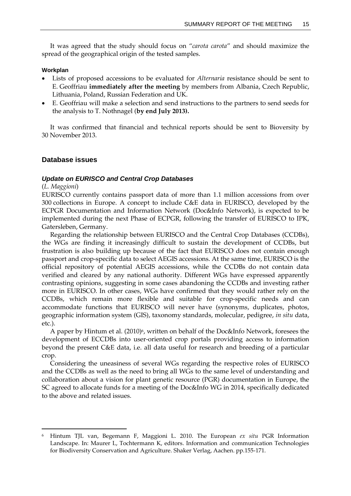It was agreed that the study should focus on "*carota carota*" and should maximize the spread of the geographical origin of the tested samples.

#### **Workplan**

- Lists of proposed accessions to be evaluated for *Alternaria* resistance should be sent to E. Geoffriau **immediately after the meeting** by members from Albania, Czech Republic, Lithuania, Poland, Russian Federation and UK.
- E. Geoffriau will make a selection and send instructions to the partners to send seeds for the analysis to T. Nothnagel (**by end July 2013).**

It was confirmed that financial and technical reports should be sent to Bioversity by 30 November 2013.

#### **Database issues**

#### *Update on EURISCO and Central Crop Databases*

#### (*L. Maggioni*)

 $\overline{a}$ 

EURISCO currently contains passport data of more than 1.1 million accessions from over 300 collections in Europe. A concept to include C&E data in EURISCO, developed by the ECPGR Documentation and Information Network (Doc&Info Network), is expected to be implemented during the next Phase of ECPGR, following the transfer of EURISCO to IPK, Gatersleben, Germany.

Regarding the relationship between EURISCO and the Central Crop Databases (CCDBs), the WGs are finding it increasingly difficult to sustain the development of CCDBs, but frustration is also building up because of the fact that EURISCO does not contain enough passport and crop-specific data to select AEGIS accessions. At the same time, EURISCO is the official repository of potential AEGIS accessions, while the CCDBs do not contain data verified and cleared by any national authority. Different WGs have expressed apparently contrasting opinions, suggesting in some cases abandoning the CCDBs and investing rather more in EURISCO. In other cases, WGs have confirmed that they would rather rely on the CCDBs, which remain more flexible and suitable for crop-specific needs and can accommodate functions that EURISCO will never have (synonyms, duplicates, photos, geographic information system (GIS), taxonomy standards, molecular, pedigree, *in situ* data, etc.).

A paper by Hintum et al. (2010)<sup>6</sup>, written on behalf of the Doc&Info Network, foresees the development of ECCDBs into user-oriented crop portals providing access to information beyond the present C&E data, i.e. all data useful for research and breeding of a particular crop.

Considering the uneasiness of several WGs regarding the respective roles of EURISCO and the CCDBs as well as the need to bring all WGs to the same level of understanding and collaboration about a vision for plant genetic resource (PGR) documentation in Europe, the SC agreed to allocate funds for a meeting of the Doc&Info WG in 2014, specifically dedicated to the above and related issues.

<sup>6</sup> Hintum TJL van, Begemann F, Maggioni L. 2010. The European *ex situ* PGR Information Landscape. In: Maurer L, Tochtermann K, editors. Information and communication Technologies for Biodiversity Conservation and Agriculture. Shaker Verlag, Aachen. pp.155-171.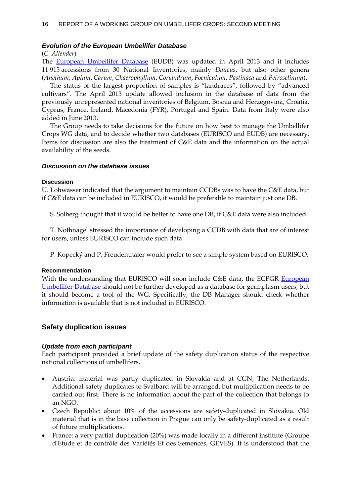# *Evolution of the European Umbellifer Database*

# (*C. Allender*)

The [European Umbellifer Database](http://www2.warwick.ac.uk/fac/sci/lifesci/wcc/gru/ecpumbel) (EUDB) was updated in April 2013 and it includes 11 915 accessions from 30 National Inventories, mainly *Daucus*, but also other genera (*Anethum*, *Apium*, *Carum*, *Chaerophyllum*, *Coriandrum*, *Foeniculum*, *Pastinaca* and *Petroselinum*).

The status of the largest proportion of samples is "landraces", followed by "advanced cultivars". The April 2013 update allowed inclusion in the database of data from the previously unrepresented national inventories of Belgium, Bosnia and Herzegovina, Croatia, Cyprus, France, Ireland, Macedonia (FYR), Portugal and Spain. Data from Italy were also added in June 2013.

The Group needs to take decisions for the future on how best to manage the Umbellifer Crops WG data, and to decide whether two databases (EURISCO and EUDB) are necessary. Items for discussion are also the treatment of C&E data and the information on the actual availability of the seeds.

# *Discussion on the database issues*

# **Discussion**

U. Lohwasser indicated that the argument to maintain CCDBs was to have the C&E data, but if C&E data can be included in EURISCO, it would be preferable to maintain just one DB.

S. Solberg thought that it would be better to have one DB, if C&E data were also included.

T. Nothnagel stressed the importance of developing a CCDB with data that are of interest for users, unless EURISCO can include such data.

P. Kopecký and P. Freudenthaler would prefer to see a simple system based on EURISCO.

# **Recommendation**

With the understanding that EURISCO will soon include C&E data, the ECPGR European [Umbellifer Database](http://www2.warwick.ac.uk/fac/sci/lifesci/wcc/gru/ecpumbel) should not be further developed as a database for germplasm users, but it should become a tool of the WG. Specifically, the DB Manager should check whether information is available that is not included in EURISCO.

# **Safety duplication issues**

# *Update from each participant*

Each participant provided a brief update of the safety duplication status of the respective national collections of umbellifers.

- Austria: material was partly duplicated in Slovakia and at CGN, The Netherlands. Additional safety duplicates to Svalbard will be arranged, but multiplication needs to be carried out first. There is no information about the part of the collection that belongs to an NGO.
- Czech Republic: about 10% of the accessions are safety-duplicated in Slovakia. Old material that is in the base collection in Prague can only be safety-duplicated as a result of future multiplications.
- France: a very partial duplication (20%) was made locally in a different institute (Groupe d'Etude et de contrôle des Variétés Et des Semences, GEVES). It is understood that the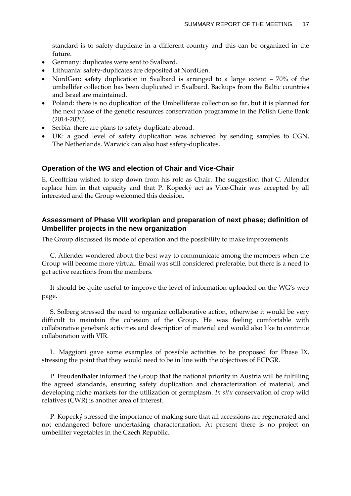standard is to safety-duplicate in a different country and this can be organized in the future.

- Germany: duplicates were sent to Svalbard.
- Lithuania: safety-duplicates are deposited at NordGen.
- NordGen: safety duplication in Svalbard is arranged to a large extent 70% of the umbellifer collection has been duplicated in Svalbard. Backups from the Baltic countries and Israel are maintained.
- Poland: there is no duplication of the Umbelliferae collection so far, but it is planned for the next phase of the genetic resources conservation programme in the Polish Gene Bank (2014-2020).
- Serbia: there are plans to safety-duplicate abroad.
- UK: a good level of safety duplication was achieved by sending samples to CGN, The Netherlands. Warwick can also host safety-duplicates.

# **Operation of the WG and election of Chair and Vice-Chair**

E. Geoffriau wished to step down from his role as Chair. The suggestion that C. Allender replace him in that capacity and that P. Kopecký act as Vice-Chair was accepted by all interested and the Group welcomed this decision.

# **Assessment of Phase VIII workplan and preparation of next phase; definition of Umbellifer projects in the new organization**

The Group discussed its mode of operation and the possibility to make improvements.

C. Allender wondered about the best way to communicate among the members when the Group will become more virtual. Email was still considered preferable, but there is a need to get active reactions from the members.

It should be quite useful to improve the level of information uploaded on the WG's web page.

S. Solberg stressed the need to organize collaborative action, otherwise it would be very difficult to maintain the cohesion of the Group. He was feeling comfortable with collaborative genebank activities and description of material and would also like to continue collaboration with VIR.

L. Maggioni gave some examples of possible activities to be proposed for Phase IX, stressing the point that they would need to be in line with the objectives of ECPGR.

P. Freudenthaler informed the Group that the national priority in Austria will be fulfilling the agreed standards, ensuring safety duplication and characterization of material, and developing niche markets for the utilization of germplasm. *In situ* conservation of crop wild relatives (CWR) is another area of interest.

P. Kopecký stressed the importance of making sure that all accessions are regenerated and not endangered before undertaking characterization. At present there is no project on umbellifer vegetables in the Czech Republic.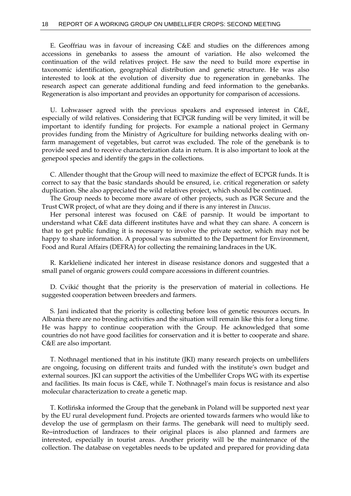E. Geoffriau was in favour of increasing C&E and studies on the differences among accessions in genebanks to assess the amount of variation. He also welcomed the continuation of the wild relatives project. He saw the need to build more expertise in taxonomic identification, geographical distribution and genetic structure. He was also interested to look at the evolution of diversity due to regeneration in genebanks. The research aspect can generate additional funding and feed information to the genebanks. Regeneration is also important and provides an opportunity for comparison of accessions.

U. Lohwasser agreed with the previous speakers and expressed interest in C&E, especially of wild relatives. Considering that ECPGR funding will be very limited, it will be important to identify funding for projects. For example a national project in Germany provides funding from the Ministry of Agriculture for building networks dealing with onfarm management of vegetables, but carrot was excluded. The role of the genebank is to provide seed and to receive characterization data in return. It is also important to look at the genepool species and identify the gaps in the collections.

C. Allender thought that the Group will need to maximize the effect of ECPGR funds. It is correct to say that the basic standards should be ensured, i.e. critical regeneration or safety duplication. She also appreciated the wild relatives project, which should be continued.

The Group needs to become more aware of other projects, such as PGR Secure and the Trust CWR project, of what are they doing and if there is any interest in *Daucus*.

Her personal interest was focused on C&E of parsnip. It would be important to understand what C&E data different institutes have and what they can share. A concern is that to get public funding it is necessary to involve the private sector, which may not be happy to share information. A proposal was submitted to the Department for Environment, Food and Rural Affairs (DEFRA) for collecting the remaining landraces in the UK.

R. Karklelienė indicated her interest in disease resistance donors and suggested that a small panel of organic growers could compare accessions in different countries.

D. Cvikić thought that the priority is the preservation of material in collections. He suggested cooperation between breeders and farmers.

S. Jani indicated that the priority is collecting before loss of genetic resources occurs. In Albania there are no breeding activities and the situation will remain like this for a long time. He was happy to continue cooperation with the Group. He acknowledged that some countries do not have good facilities for conservation and it is better to cooperate and share. C&E are also important.

T. Nothnagel mentioned that in his institute (JKI) many research projects on umbellifers are ongoing, focusing on different traits and funded with the institute's own budget and external sources. JKI can support the activities of the Umbellifer Crops WG with its expertise and facilities. Its main focus is C&E, while T. Nothnagel's main focus is resistance and also molecular characterization to create a genetic map.

T. Kotlińska informed the Group that the genebank in Poland will be supported next year by the EU rural development fund. Projects are oriented towards farmers who would like to develop the use of germplasm on their farms. The genebank will need to multiply seed. Re-introduction of landraces to their original places is also planned and farmers are interested, especially in tourist areas. Another priority will be the maintenance of the collection. The database on vegetables needs to be updated and prepared for providing data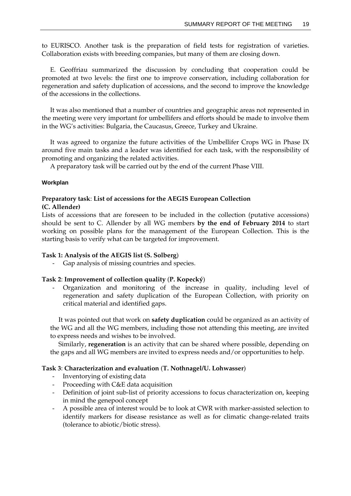to EURISCO. Another task is the preparation of field tests for registration of varieties. Collaboration exists with breeding companies, but many of them are closing down.

E. Geoffriau summarized the discussion by concluding that cooperation could be promoted at two levels: the first one to improve conservation, including collaboration for regeneration and safety duplication of accessions, and the second to improve the knowledge of the accessions in the collections.

It was also mentioned that a number of countries and geographic areas not represented in the meeting were very important for umbellifers and efforts should be made to involve them in the WG's activities: Bulgaria, the Caucasus, Greece, Turkey and Ukraine.

It was agreed to organize the future activities of the Umbellifer Crops WG in Phase IX around five main tasks and a leader was identified for each task, with the responsibility of promoting and organizing the related activities.

A preparatory task will be carried out by the end of the current Phase VIII.

#### **Workplan**

# **Preparatory task**: **List of accessions for the AEGIS European Collection (C. Allender)**

Lists of accessions that are foreseen to be included in the collection (putative accessions) should be sent to C. Allender by all WG members **by the end of February 2014** to start working on possible plans for the management of the European Collection. This is the starting basis to verify what can be targeted for improvement.

### **Task 1: Analysis of the AEGIS list (S. Solberg**)

Gap analysis of missing countries and species.

### **Task 2**: **Improvement of collection quality** (**P. Kopecký**)

- Organization and monitoring of the increase in quality, including level of regeneration and safety duplication of the European Collection, with priority on critical material and identified gaps.

It was pointed out that work on **safety duplication** could be organized as an activity of the WG and all the WG members, including those not attending this meeting, are invited to express needs and wishes to be involved.

Similarly, **regeneration** is an activity that can be shared where possible, depending on the gaps and all WG members are invited to express needs and/or opportunities to help.

#### **Task 3**: **Characterization and evaluation** (**T. Nothnagel/U. Lohwasser**)

- Inventorying of existing data
- Proceeding with C&E data acquisition
- Definition of joint sub-list of priority accessions to focus characterization on, keeping in mind the genepool concept
- A possible area of interest would be to look at CWR with marker-assisted selection to identify markers for disease resistance as well as for climatic change-related traits (tolerance to abiotic/biotic stress).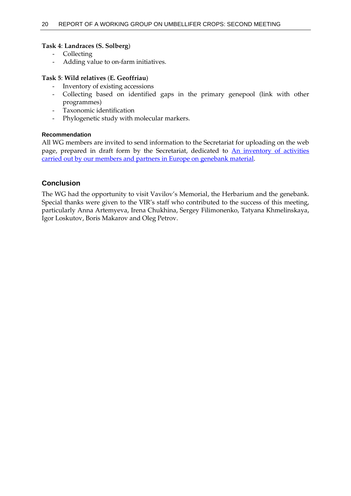# **Task 4**: **Landraces (S. Solberg**)

- Collecting
- Adding value to on-farm initiatives.

# **Task 5**: **Wild relatives** (**E. Geoffriau**)

- Inventory of existing accessions
- Collecting based on identified gaps in the primary genepool (link with other programmes)
- Taxonomic identification
- Phylogenetic study with molecular markers.

# **Recommendation**

All WG members are invited to send information to the Secretariat for uploading on the web page, prepared in draft form by the Secretariat, dedicated to **An inventory of activities** [carried out by our members and partners in Europe on genebank material.](http://www.ecpgr.cgiar.org/networks/vegetables/umbellifer_crops/inventory_activities.html)

# **Conclusion**

The WG had the opportunity to visit Vavilov's Memorial, the Herbarium and the genebank. Special thanks were given to the VIR's staff who contributed to the success of this meeting, particularly Anna Artemyeva, Irena Chukhina, Sergey Filimonenko, Tatyana Khmelinskaya, Igor Loskutov, Boris Makarov and Oleg Petrov.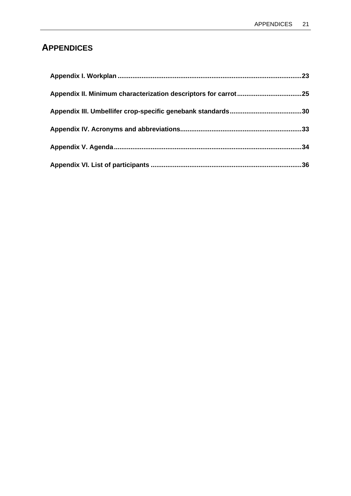# **APPENDICES**

| .36 |
|-----|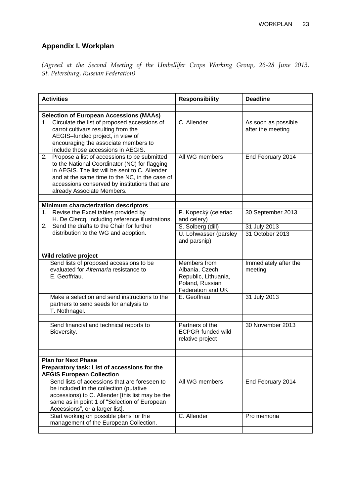# <span id="page-28-0"></span>**Appendix I. Workplan**

*(Agreed at the Second Meeting of the Umbellifer Crops Working Group, 26-28 June 2013, St. Petersburg, Russian Federation)*

| <b>Activities</b>                                                                                                                                                                                                                                                                      | <b>Responsibility</b>                                                                          | <b>Deadline</b>                          |
|----------------------------------------------------------------------------------------------------------------------------------------------------------------------------------------------------------------------------------------------------------------------------------------|------------------------------------------------------------------------------------------------|------------------------------------------|
|                                                                                                                                                                                                                                                                                        |                                                                                                |                                          |
| <b>Selection of European Accessions (MAAs)</b>                                                                                                                                                                                                                                         |                                                                                                |                                          |
| Circulate the list of proposed accessions of<br>1.<br>carrot cultivars resulting from the<br>AEGIS-funded project, in view of<br>encouraging the associate members to<br>include those accessions in AEGIS.                                                                            | C. Allender                                                                                    | As soon as possible<br>after the meeting |
| Propose a list of accessions to be submitted<br>2.<br>to the National Coordinator (NC) for flagging<br>in AEGIS. The list will be sent to C. Allender<br>and at the same time to the NC, in the case of<br>accessions conserved by institutions that are<br>already Associate Members. | All WG members                                                                                 | End February 2014                        |
| Minimum characterization descriptors                                                                                                                                                                                                                                                   |                                                                                                |                                          |
| Revise the Excel tables provided by<br>1.<br>H. De Clercq, including reference illustrations.                                                                                                                                                                                          | P. Kopecký (celeriac<br>and celery)                                                            | 30 September 2013                        |
| Send the drafts to the Chair for further<br>2.                                                                                                                                                                                                                                         | S. Solberg (dill)                                                                              | 31 July 2013                             |
| distribution to the WG and adoption.                                                                                                                                                                                                                                                   | U. Lohwasser (parsley<br>and parsnip)                                                          | 31 October 2013                          |
|                                                                                                                                                                                                                                                                                        |                                                                                                |                                          |
| Wild relative project                                                                                                                                                                                                                                                                  |                                                                                                |                                          |
| Send lists of proposed accessions to be<br>evaluated for Alternaria resistance to<br>E. Geoffriau.                                                                                                                                                                                     | Members from<br>Albania, Czech<br>Republic, Lithuania,<br>Poland, Russian<br>Federation and UK | Immediately after the<br>meeting         |
| Make a selection and send instructions to the<br>partners to send seeds for analysis to<br>T. Nothnagel.                                                                                                                                                                               | E. Geoffriau                                                                                   | 31 July 2013                             |
|                                                                                                                                                                                                                                                                                        |                                                                                                |                                          |
| Send financial and technical reports to<br>Bioversity.                                                                                                                                                                                                                                 | Partners of the<br><b>ECPGR-funded wild</b><br>relative project                                | 30 November 2013                         |
|                                                                                                                                                                                                                                                                                        |                                                                                                |                                          |
| <b>Plan for Next Phase</b>                                                                                                                                                                                                                                                             |                                                                                                |                                          |
| Preparatory task: List of accessions for the                                                                                                                                                                                                                                           |                                                                                                |                                          |
| <b>AEGIS European Collection</b>                                                                                                                                                                                                                                                       |                                                                                                |                                          |
| Send lists of accessions that are foreseen to<br>be included in the collection (putative<br>accessions) to C. Allender [this list may be the<br>same as in point 1 of "Selection of European<br>Accessions", or a larger list].                                                        | <b>All WG members</b>                                                                          | End February 2014                        |
| Start working on possible plans for the<br>management of the European Collection.                                                                                                                                                                                                      | C. Allender                                                                                    | Pro memoria                              |
|                                                                                                                                                                                                                                                                                        |                                                                                                |                                          |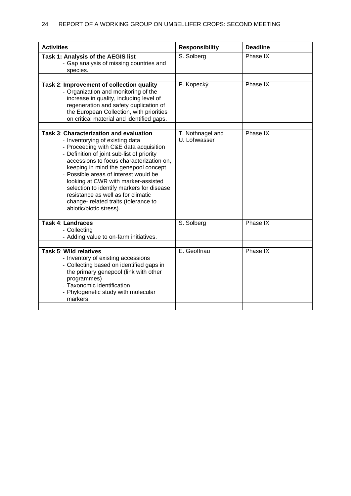| <b>Activities</b>                                                                                                                                                                                                                                                                                                                                                                                                                                                                            | <b>Responsibility</b>            | <b>Deadline</b> |
|----------------------------------------------------------------------------------------------------------------------------------------------------------------------------------------------------------------------------------------------------------------------------------------------------------------------------------------------------------------------------------------------------------------------------------------------------------------------------------------------|----------------------------------|-----------------|
| Task 1: Analysis of the AEGIS list<br>- Gap analysis of missing countries and<br>species.                                                                                                                                                                                                                                                                                                                                                                                                    | S. Solberg                       | Phase IX        |
| Task 2: Improvement of collection quality<br>- Organization and monitoring of the<br>increase in quality, including level of<br>regeneration and safety duplication of<br>the European Collection, with priorities<br>on critical material and identified gaps.                                                                                                                                                                                                                              | P. Kopecký                       | Phase IX        |
| Task 3: Characterization and evaluation<br>- Inventorying of existing data<br>- Proceeding with C&E data acquisition<br>- Definition of joint sub-list of priority<br>accessions to focus characterization on,<br>keeping in mind the genepool concept<br>- Possible areas of interest would be<br>looking at CWR with marker-assisted<br>selection to identify markers for disease<br>resistance as well as for climatic<br>change- related traits (tolerance to<br>abiotic/biotic stress). | T. Nothnagel and<br>U. Lohwasser | Phase IX        |
| <b>Task 4: Landraces</b><br>- Collecting<br>- Adding value to on-farm initiatives.                                                                                                                                                                                                                                                                                                                                                                                                           | S. Solberg                       | Phase IX        |
| Task 5: Wild relatives<br>- Inventory of existing accessions<br>- Collecting based on identified gaps in<br>the primary genepool (link with other<br>programmes)<br>- Taxonomic identification<br>- Phylogenetic study with molecular<br>markers.                                                                                                                                                                                                                                            | E. Geoffriau                     | Phase IX        |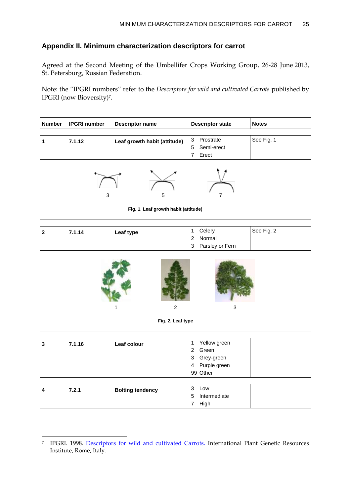# <span id="page-30-0"></span>**Appendix II. Minimum characterization descriptors for carrot**

Agreed at the Second Meeting of the Umbellifer Crops Working Group, 26-28 June 2013, St. Petersburg, Russian Federation.

Note: the "IPGRI numbers" refer to the *Descriptors for wild and cultivated Carrots* published by IPGRI (now Bioversity)7.

| <b>Number</b>           | <b>IPGRI</b> number | <b>Descriptor name</b>                   | <b>Descriptor state</b><br><b>Notes</b>                                                                                             |  |
|-------------------------|---------------------|------------------------------------------|-------------------------------------------------------------------------------------------------------------------------------------|--|
| $\mathbf{1}$            | 7.1.12              | Leaf growth habit (attitude)             | $\mathbf{3}$<br>See Fig. 1<br>Prostrate<br>$\sqrt{5}$<br>Semi-erect<br>$\overline{7}$<br>Erect                                      |  |
|                         | 3                   | 5                                        |                                                                                                                                     |  |
|                         |                     | Fig. 1. Leaf growth habit (attitude)     |                                                                                                                                     |  |
| $\mathbf 2$             | 7.1.14              | Leaf type                                | Celery<br>See Fig. 2<br>$\mathbf{1}$<br>Normal<br>$\sqrt{2}$<br>3<br>Parsley or Fern                                                |  |
|                         |                     |                                          |                                                                                                                                     |  |
|                         |                     | $\overline{c}$<br>1<br>Fig. 2. Leaf type | 3                                                                                                                                   |  |
|                         |                     |                                          |                                                                                                                                     |  |
| $\overline{\mathbf{3}}$ | 7.1.16              | Leaf colour                              | $\mathbf{1}$<br>Yellow green<br>$\overline{2}$<br>Green<br>$\mathbf{3}$<br>Grey-green<br>$\overline{4}$<br>Purple green<br>99 Other |  |
| $\overline{\mathbf{4}}$ | 7.2.1               | <b>Bolting tendency</b>                  | $\mathbf{3}$<br>Low<br>$\overline{5}$<br>Intermediate<br>$\overline{7}$<br>High                                                     |  |

<sup>7</sup> IPGRI. 1998. [Descriptors for wild and cultivated Carrots.](http://www.ecpgr.cgiar.org/publications/publication/issue/descriptors_for_wild_and_cultivated_carrots_emdaucus_carotaem_l.html) International Plant Genetic Resources Institute, Rome, Italy.

 $\overline{a}$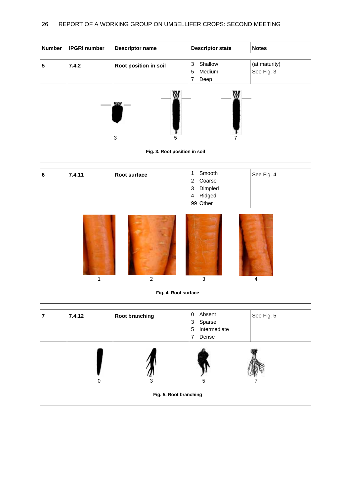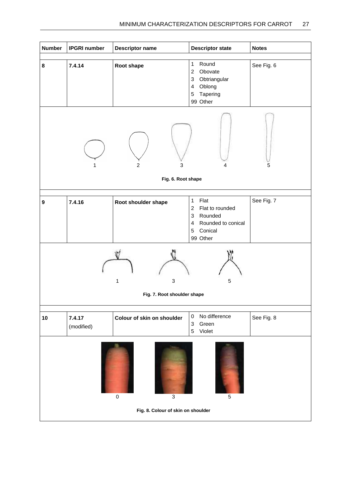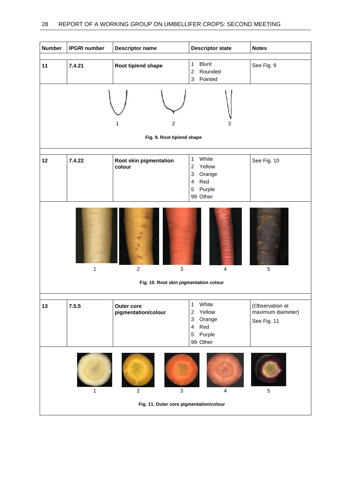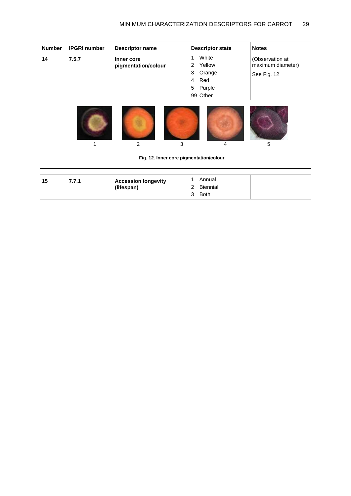| <b>Number</b>                           | <b>IPGRI</b> number | <b>Descriptor name</b>                   | <b>Descriptor state</b>                                                                      | <b>Notes</b>                                        |
|-----------------------------------------|---------------------|------------------------------------------|----------------------------------------------------------------------------------------------|-----------------------------------------------------|
| 14                                      | 7.5.7               | Inner core<br>pigmentation/colour        | White<br>1<br>2<br>Yellow<br>3<br>Orange<br>Red<br>$\overline{4}$<br>5<br>Purple<br>99 Other | (Observation at<br>maximum diameter)<br>See Fig. 12 |
|                                         |                     | $\overline{2}$<br>3                      | 4                                                                                            | 5                                                   |
| Fig. 12. Inner core pigmentation/colour |                     |                                          |                                                                                              |                                                     |
|                                         |                     |                                          |                                                                                              |                                                     |
| 15                                      | 7.7.1               | <b>Accession longevity</b><br>(lifespan) | Annual<br>1<br>Biennial<br>2<br>3<br><b>Both</b>                                             |                                                     |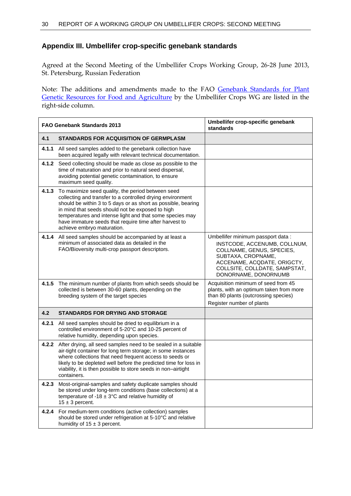# <span id="page-35-0"></span>**Appendix III. Umbellifer crop-specific genebank standards**

Agreed at the Second Meeting of the Umbellifer Crops Working Group, 26-28 June 2013, St. Petersburg, Russian Federation

Note: The additions and amendments made to the FAO [Genebank Standards for](http://www.fao.org/fileadmin/templates/agphome/documents/PGR/genebank/GeneBank_ENG_WebFile.pdf) Plant [Genetic Resources for Food and Agriculture](http://www.fao.org/fileadmin/templates/agphome/documents/PGR/genebank/GeneBank_ENG_WebFile.pdf) by the Umbellifer Crops WG are listed in the right-side column.

| FAO Genebank Standards 2013 |                                                                                                                                                                                                                                                                                                                                                                                          | Umbellifer crop-specific genebank<br>standards                                                                                                                                                               |
|-----------------------------|------------------------------------------------------------------------------------------------------------------------------------------------------------------------------------------------------------------------------------------------------------------------------------------------------------------------------------------------------------------------------------------|--------------------------------------------------------------------------------------------------------------------------------------------------------------------------------------------------------------|
| 4.1                         | <b>STANDARDS FOR ACQUISITION OF GERMPLASM</b>                                                                                                                                                                                                                                                                                                                                            |                                                                                                                                                                                                              |
| 4.1.1                       | All seed samples added to the genebank collection have<br>been acquired legally with relevant technical documentation.                                                                                                                                                                                                                                                                   |                                                                                                                                                                                                              |
| 4.1.2                       | Seed collecting should be made as close as possible to the<br>time of maturation and prior to natural seed dispersal,<br>avoiding potential genetic contamination, to ensure<br>maximum seed quality.                                                                                                                                                                                    |                                                                                                                                                                                                              |
| 4.1.3                       | To maximize seed quality, the period between seed<br>collecting and transfer to a controlled drying environment<br>should be within 3 to 5 days or as short as possible, bearing<br>in mind that seeds should not be exposed to high<br>temperatures and intense light and that some species may<br>have immature seeds that require time after harvest to<br>achieve embryo maturation. |                                                                                                                                                                                                              |
| 4.1.4                       | All seed samples should be accompanied by at least a<br>minimum of associated data as detailed in the<br>FAO/Bioversity multi-crop passport descriptors.                                                                                                                                                                                                                                 | Umbellifer minimum passport data:<br>INSTCODE, ACCENUMB, COLLNUM,<br>COLLNAME, GENUS, SPECIES,<br>SUBTAXA, CROPNAME,<br>ACCENAME, ACQDATE, ORIGCTY,<br>COLLSITE, COLLDATE, SAMPSTAT,<br>DONORNAME, DONORNUMB |
| 4.1.5                       | The minimum number of plants from which seeds should be<br>collected is between 30-60 plants, depending on the<br>breeding system of the target species                                                                                                                                                                                                                                  | Acquisition minimum of seed from 45<br>plants, with an optimum taken from more<br>than 80 plants (outcrossing species)<br>Register number of plants                                                          |
| 4.2                         | <b>STANDARDS FOR DRYING AND STORAGE</b>                                                                                                                                                                                                                                                                                                                                                  |                                                                                                                                                                                                              |
| 4.2.1                       | All seed samples should be dried to equilibrium in a<br>controlled environment of 5-20°C and 10-25 percent of<br>relative humidity, depending upon species.                                                                                                                                                                                                                              |                                                                                                                                                                                                              |
|                             | 4.2.2 After drying, all seed samples need to be sealed in a suitable<br>air-tight container for long term storage; in some instances<br>where collections that need frequent access to seeds or<br>likely to be depleted well before the predicted time for loss in<br>viability, it is then possible to store seeds in non-airtight<br>containers.                                      |                                                                                                                                                                                                              |
| 4.2.3                       | Most-original-samples and safety duplicate samples should<br>be stored under long-term conditions (base collections) at a<br>temperature of -18 $\pm$ 3°C and relative humidity of<br>$15 \pm 3$ percent.                                                                                                                                                                                |                                                                                                                                                                                                              |
| 4.2.4                       | For medium-term conditions (active collection) samples<br>should be stored under refrigeration at 5-10°C and relative<br>humidity of $15 \pm 3$ percent.                                                                                                                                                                                                                                 |                                                                                                                                                                                                              |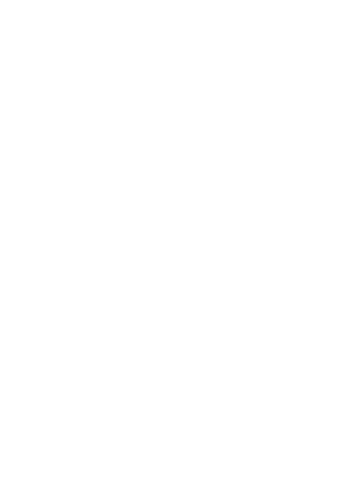Bioversity International is the only global non-profit research organization that places the use and conservation of agricultural biodiversity in smallholder farming systems at the centre of its work. Bioversity is a member of the Consultative Group on International Agricultural Research (CGIAR) Consortium, a global association of public and private members to create a food secure future.

Bioversity has its headquarters in Maccarese, near Rome, Italy, with offices in more than 20 other countries worldwide. The international status of Bioversity is conferred under an Establishment (KPCPEKCN UWRRQTV HQT \$KQXGTUKV[OU TGUGCTEJ KU F #ITGGOGPV governments, private foundations and international organizations. For details of donors and research YJKEJ ( CEVKXKVKGU RNGCUG UGG \$KQXGTUKV[OU #PPWCN 4GRQTVU bioversity-publications@cgiar.org QT HTQO \$KQXGTWkW.bOtdrs9rGnDerrldtKoMaGorg).

The European Cooperative Programme for Plant Genetic Resources (ECPGR)a collaborative programme among most European countries aimed at contributing to national, sub-regional and regional programmes in Europe to rationally and effectively conserve **exitu** and in situPlant Genetic Resources for Food and Agriculture and increase their utilization. The Programme, which is entirely financed by the member countries, is overseen by a Steering Committee composed of National Coordinators nominated by the participating countries and a number of relevant international bodies. The Coordinating Secretariat is hosted by Bioversity International. The Programme operates through nine networks in which activities are carried out through a number of permanent working groups or through ad hoc actions. The ECPGR networks deal with either groups of crops (cereals; forages; fruit; oil and protein crops; sugar, starch and fibre crops; vegetables) or general themes related to plant genetic resources (documentation and information; in situ and on-farm conservation; inter-regional cooperation). Members of the working groups and other scientists from participating countries carry out an agreed workplan with their own resources as inputs in kind to the Programme.

The geographical designations employed and the presentation of material in this publication do not imply the expression of any opinion whatsoever on the part of Bioversity or the CGIAR concerning the legal status of any country, territory, city or area or its authorities, or concerning the delimitation of its frontiers or boundaries.

Mention of a proprietary name does not constitute endorsement of the product and is given only for information.

#### **Citation**

Maggioni L, Geoffriau E, Allender C, Lipman E. 2014. Report of a Working Group on Umbellifer Crops. Second Meeting, 26 l28 June 2013, St. Petersburg, Russian Federation. Bioversity International, Rome, Italy.

#### **Cover illustration**

Dill (Andhum graveolengrown at NordGen (Alnarp, Sweden): accession NGB20234 Arlöv Qa locally collected material of dill that survived from one year to another in an old garden in South Sweden. © ECPGR.

Acknowledgements to L. Currah for English language editing.

ISBN 978-92-9043-980-6

**Bioversity International** Via dei Tre Denari, 472/a 00057 Maccarese Rome, Italy

© Bioversity International, 2014

Bioversity International the operating name of the International Plant Genetic Resources Institute (IPGRI).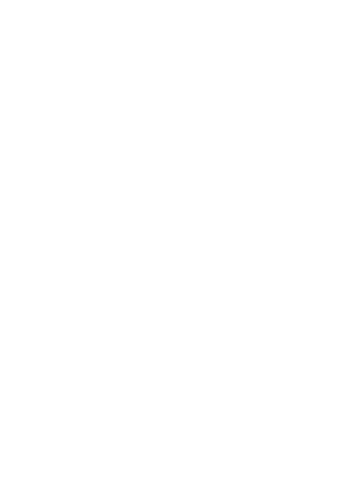Related presentations can be downloaded from<br>http://www.ecpgr.cgiar.org/networks/vegetables/umbellifer crops/umbellifers2013/presentations.html